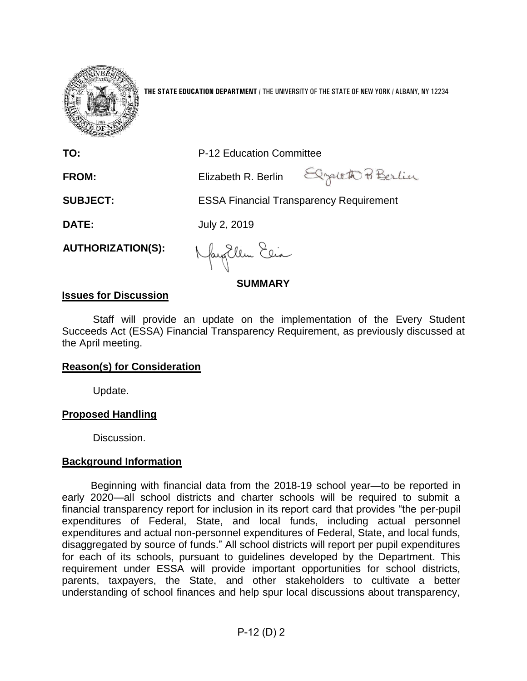

**THE STATE EDUCATION DEPARTMENT** / THE UNIVERSITY OF THE STATE OF NEW YORK / ALBANY, NY 12234

**TO:** P-12 Education Committee

**FROM:** Elizabeth R. Berlin

Elgateth Berlin

**SUBJECT:** ESSA Financial Transparency Requirement

**DATE:** July 2, 2019

**AUTHORIZATION(S):**

Naytlem Elia

**SUMMARY**

## **Issues for Discussion**

Staff will provide an update on the implementation of the Every Student Succeeds Act (ESSA) Financial Transparency Requirement, as previously discussed at the April meeting.

# **Reason(s) for Consideration**

Update.

# **Proposed Handling**

Discussion.

# **Background Information**

 Beginning with financial data from the 2018-19 school year—to be reported in early 2020—all school districts and charter schools will be required to submit a financial transparency report for inclusion in its report card that provides "the per-pupil expenditures of Federal, State, and local funds, including actual personnel expenditures and actual non-personnel expenditures of Federal, State, and local funds, disaggregated by source of funds." All school districts will report per pupil expenditures for each of its schools, pursuant to guidelines developed by the Department. This requirement under ESSA will provide important opportunities for school districts, parents, taxpayers, the State, and other stakeholders to cultivate a better understanding of school finances and help spur local discussions about transparency,